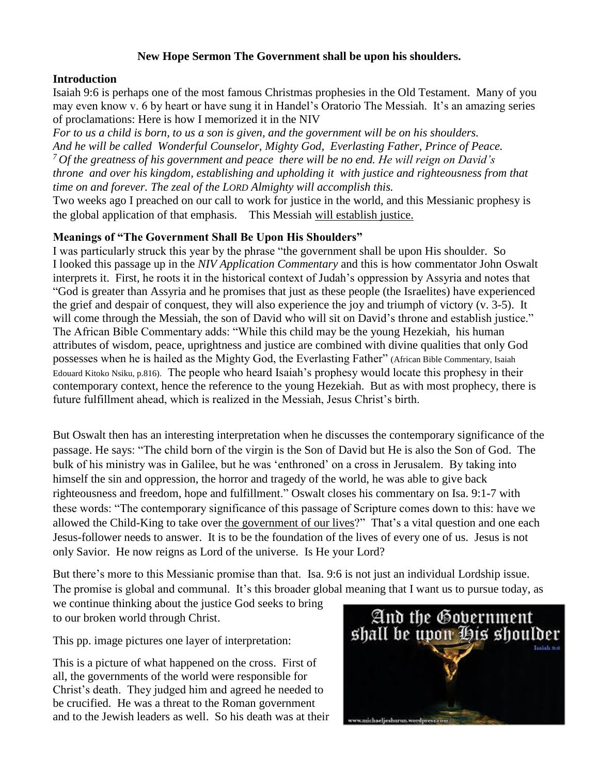# **New Hope Sermon The Government shall be upon his shoulders.**

### **Introduction**

Isaiah 9:6 is perhaps one of the most famous Christmas prophesies in the Old Testament. Many of you may even know v. 6 by heart or have sung it in Handel's Oratorio The Messiah. It's an amazing series of proclamations: Here is how I memorized it in the NIV

*For to us a child is born, to us a son is given, and the government will be on his shoulders. And he will be called Wonderful Counselor, Mighty God, Everlasting Father, Prince of Peace. <sup>7</sup> Of the greatness of his government and peace there will be no end. He will reign on David's throne and over his kingdom, establishing and upholding it with justice and righteousness from that time on and forever. The zeal of the LORD Almighty will accomplish this.*

Two weeks ago I preached on our call to work for justice in the world, and this Messianic prophesy is the global application of that emphasis. This Messiah will establish justice.

### **Meanings of "The Government Shall Be Upon His Shoulders"**

I was particularly struck this year by the phrase "the government shall be upon His shoulder. So I looked this passage up in the *NIV Application Commentary* and this is how commentator John Oswalt interprets it. First, he roots it in the historical context of Judah's oppression by Assyria and notes that "God is greater than Assyria and he promises that just as these people (the Israelites) have experienced the grief and despair of conquest, they will also experience the joy and triumph of victory (v. 3-5). It will come through the Messiah, the son of David who will sit on David's throne and establish justice." The African Bible Commentary adds: "While this child may be the young Hezekiah, his human attributes of wisdom, peace, uprightness and justice are combined with divine qualities that only God possesses when he is hailed as the Mighty God, the Everlasting Father" (African Bible Commentary, Isaiah Edouard Kitoko Nsiku, p.816). The people who heard Isaiah's prophesy would locate this prophesy in their contemporary context, hence the reference to the young Hezekiah. But as with most prophecy, there is future fulfillment ahead, which is realized in the Messiah, Jesus Christ's birth.

But Oswalt then has an interesting interpretation when he discusses the contemporary significance of the passage. He says: "The child born of the virgin is the Son of David but He is also the Son of God. The bulk of his ministry was in Galilee, but he was 'enthroned' on a cross in Jerusalem. By taking into himself the sin and oppression, the horror and tragedy of the world, he was able to give back righteousness and freedom, hope and fulfillment." Oswalt closes his commentary on Isa. 9:1-7 with these words: "The contemporary significance of this passage of Scripture comes down to this: have we allowed the Child-King to take over the government of our lives?" That's a vital question and one each Jesus-follower needs to answer. It is to be the foundation of the lives of every one of us. Jesus is not only Savior. He now reigns as Lord of the universe. Is He your Lord?

But there's more to this Messianic promise than that. Isa. 9:6 is not just an individual Lordship issue. The promise is global and communal. It's this broader global meaning that I want us to pursue today, as

we continue thinking about the justice God seeks to bring to our broken world through Christ.

This pp. image pictures one layer of interpretation:

This is a picture of what happened on the cross. First of all, the governments of the world were responsible for Christ's death. They judged him and agreed he needed to be crucified. He was a threat to the Roman government and to the Jewish leaders as well. So his death was at their

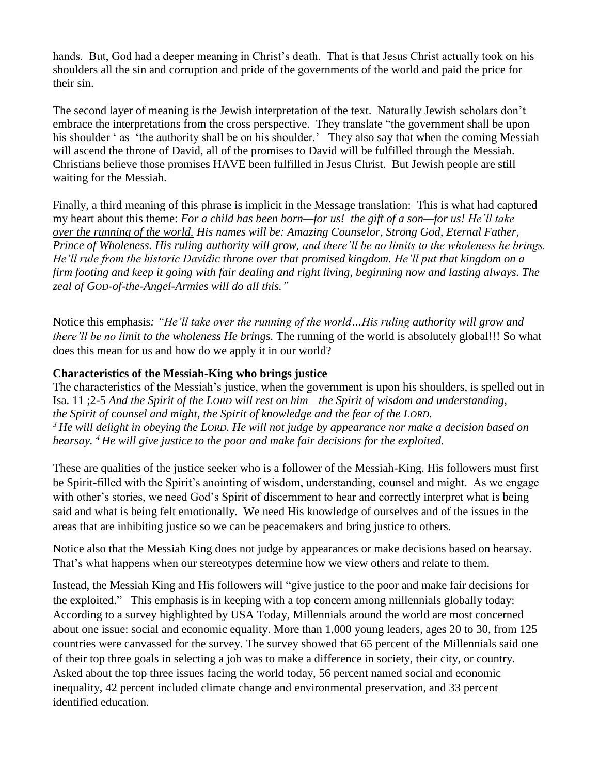hands. But, God had a deeper meaning in Christ's death. That is that Jesus Christ actually took on his shoulders all the sin and corruption and pride of the governments of the world and paid the price for their sin.

The second layer of meaning is the Jewish interpretation of the text. Naturally Jewish scholars don't embrace the interpretations from the cross perspective. They translate "the government shall be upon his shoulder ' as 'the authority shall be on his shoulder.' They also say that when the coming Messiah will ascend the throne of David, all of the promises to David will be fulfilled through the Messiah. Christians believe those promises HAVE been fulfilled in Jesus Christ. But Jewish people are still waiting for the Messiah.

Finally, a third meaning of this phrase is implicit in the Message translation: This is what had captured my heart about this theme: *For a child has been born—for us! the gift of a son—for us! He'll take over the running of the world. His names will be: Amazing Counselor, Strong God, Eternal Father, Prince of Wholeness. His ruling authority will grow, and there'll be no limits to the wholeness he brings. He'll rule from the historic Davidic throne over that promised kingdom. He'll put that kingdom on a firm footing and keep it going with fair dealing and right living, beginning now and lasting always. The zeal of GOD-of-the-Angel-Armies will do all this."*

Notice this emphasis*: "He'll take over the running of the world…His ruling authority will grow and there'll be no limit to the wholeness He brings.* The running of the world is absolutely global!!! So what does this mean for us and how do we apply it in our world?

# **Characteristics of the Messiah-King who brings justice**

The characteristics of the Messiah's justice, when the government is upon his shoulders, is spelled out in Isa. 11 ;2-5 *And the Spirit of the LORD will rest on him—the Spirit of wisdom and understanding, the Spirit of counsel and might, the Spirit of knowledge and the fear of the LORD. <sup>3</sup> He will delight in obeying the LORD. He will not judge by appearance nor make a decision based on hearsay. <sup>4</sup> He will give justice to the poor and make fair decisions for the exploited.*

These are qualities of the justice seeker who is a follower of the Messiah-King. His followers must first be Spirit-filled with the Spirit's anointing of wisdom, understanding, counsel and might. As we engage with other's stories, we need God's Spirit of discernment to hear and correctly interpret what is being said and what is being felt emotionally. We need His knowledge of ourselves and of the issues in the areas that are inhibiting justice so we can be peacemakers and bring justice to others.

Notice also that the Messiah King does not judge by appearances or make decisions based on hearsay. That's what happens when our stereotypes determine how we view others and relate to them.

Instead, the Messiah King and His followers will "give justice to the poor and make fair decisions for the exploited." This emphasis is in keeping with a top concern among millennials globally today: According to a survey highlighted by USA Today, Millennials around the world are most concerned about one issue: social and economic equality. More than 1,000 young leaders, ages 20 to 30, from 125 countries were canvassed for the survey. The survey showed that 65 percent of the Millennials said one of their top three goals in selecting a job was to make a difference in society, their city, or country. Asked about the top three issues facing the world today, 56 percent named social and economic inequality, 42 percent included climate change and environmental preservation, and 33 percent identified education.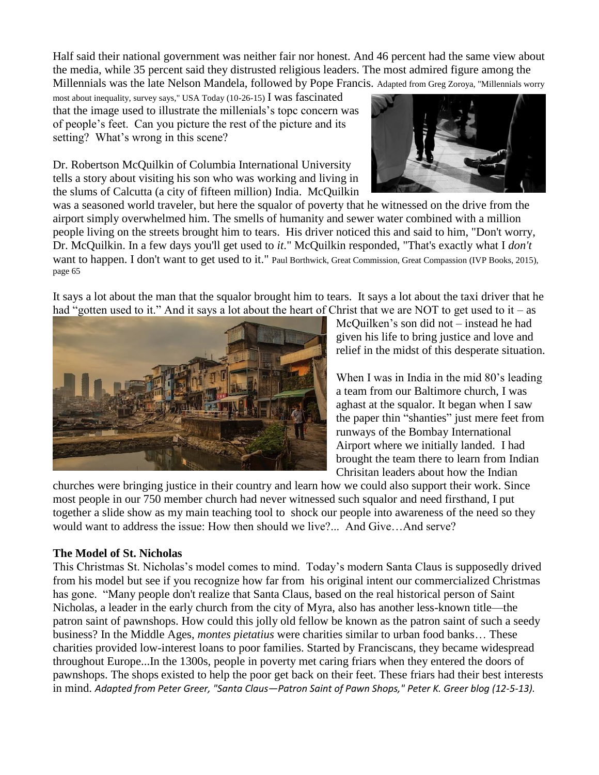Half said their national government was neither fair nor honest. And 46 percent had the same view about the media, while 35 percent said they distrusted religious leaders. The most admired figure among the Millennials was the late Nelson Mandela, followed by Pope Francis. Adapted from Greg Zoroya, "Millennials worry

most about inequality, survey says," USA Today (10-26-15) I was fascinated that the image used to illustrate the millenials's topc concern was of people's feet. Can you picture the rest of the picture and its setting? What's wrong in this scene?

Dr. Robertson McQuilkin of Columbia International University tells a story about visiting his son who was working and living in the slums of Calcutta (a city of fifteen million) India. McQuilkin



was a seasoned world traveler, but here the squalor of poverty that he witnessed on the drive from the airport simply overwhelmed him. The smells of humanity and sewer water combined with a million people living on the streets brought him to tears. His driver noticed this and said to him, "Don't worry, Dr. McQuilkin. In a few days you'll get used to *it*." McQuilkin responded, "That's exactly what I *don't* want to happen. I don't want to get used to it." Paul Borthwick, Great Commission, Great Compassion (IVP Books, 2015), page 65

It says a lot about the man that the squalor brought him to tears. It says a lot about the taxi driver that he had "gotten used to it." And it says a lot about the heart of Christ that we are NOT to get used to it – as



McQuilken's son did not – instead he had given his life to bring justice and love and relief in the midst of this desperate situation.

When I was in India in the mid 80's leading a team from our Baltimore church, I was aghast at the squalor. It began when I saw the paper thin "shanties" just mere feet from runways of the Bombay International Airport where we initially landed. I had brought the team there to learn from Indian Chrisitan leaders about how the Indian

churches were bringing justice in their country and learn how we could also support their work. Since most people in our 750 member church had never witnessed such squalor and need firsthand, I put together a slide show as my main teaching tool to shock our people into awareness of the need so they would want to address the issue: How then should we live?... And Give…And serve?

# **The Model of St. Nicholas**

This Christmas St. Nicholas's model comes to mind. Today's modern Santa Claus is supposedly drived from his model but see if you recognize how far from his original intent our commercialized Christmas has gone. "Many people don't realize that Santa Claus, based on the real historical person of Saint Nicholas, a leader in the early church from the city of Myra, also has another less-known title—the patron saint of pawnshops. How could this jolly old fellow be known as the patron saint of such a seedy business? In the Middle Ages, *montes pietatius* were charities similar to urban food banks… These charities provided low-interest loans to poor families. Started by Franciscans, they became widespread throughout Europe...In the 1300s, people in poverty met caring friars when they entered the doors of pawnshops. The shops existed to help the poor get back on their feet. These friars had their best interests in mind. *Adapted from Peter Greer, "Santa Claus—Patron Saint of Pawn Shops," Peter K. Greer blog (12-5-13).*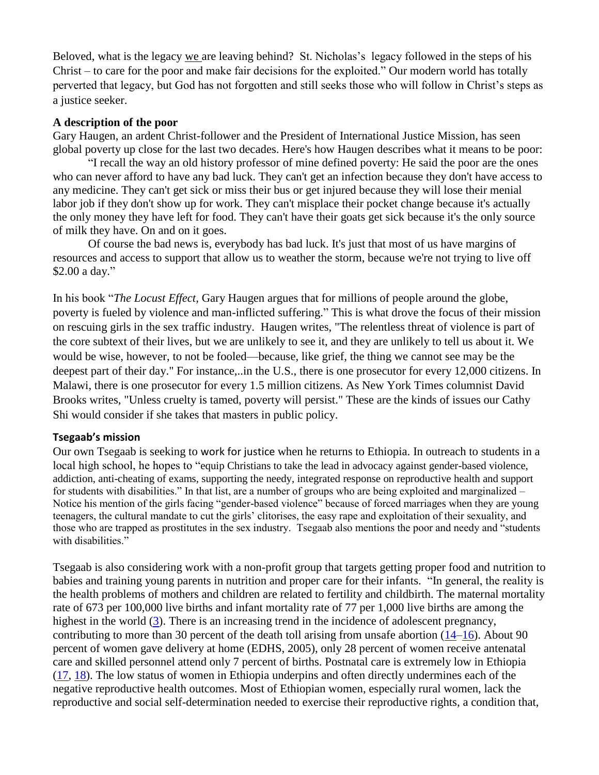Beloved, what is the legacy we are leaving behind? St. Nicholas's legacy followed in the steps of his Christ – to care for the poor and make fair decisions for the exploited." Our modern world has totally perverted that legacy, but God has not forgotten and still seeks those who will follow in Christ's steps as a justice seeker.

#### **A description of the poor**

Gary Haugen, an ardent Christ-follower and the President of International Justice Mission, has seen global poverty up close for the last two decades. Here's how Haugen describes what it means to be poor:

"I recall the way an old history professor of mine defined poverty: He said the poor are the ones who can never afford to have any bad luck. They can't get an infection because they don't have access to any medicine. They can't get sick or miss their bus or get injured because they will lose their menial labor job if they don't show up for work. They can't misplace their pocket change because it's actually the only money they have left for food. They can't have their goats get sick because it's the only source of milk they have. On and on it goes.

Of course the bad news is, everybody has bad luck. It's just that most of us have margins of resources and access to support that allow us to weather the storm, because we're not trying to live off \$2.00 a day."

In his book "*The Locust Effect,* Gary Haugen argues that for millions of people around the globe, poverty is fueled by violence and man-inflicted suffering." This is what drove the focus of their mission on rescuing girls in the sex traffic industry. Haugen writes, "The relentless threat of violence is part of the core subtext of their lives, but we are unlikely to see it, and they are unlikely to tell us about it. We would be wise, however, to not be fooled—because, like grief, the thing we cannot see may be the deepest part of their day." For instance,..in the U.S., there is one prosecutor for every 12,000 citizens. In Malawi, there is one prosecutor for every 1.5 million citizens. As New York Times columnist David Brooks writes, "Unless cruelty is tamed, poverty will persist." These are the kinds of issues our Cathy Shi would consider if she takes that masters in public policy.

#### **Tsegaab's mission**

Our own Tsegaab is seeking to work for justice when he returns to Ethiopia. In outreach to students in a local high school, he hopes to "equip Christians to take the lead in advocacy against gender-based violence, addiction, anti-cheating of exams, supporting the needy, integrated response on reproductive health and support for students with disabilities." In that list, are a number of groups who are being exploited and marginalized – Notice his mention of the girls facing "gender-based violence" because of forced marriages when they are young teenagers, the cultural mandate to cut the girls' clitorises, the easy rape and exploitation of their sexuality, and those who are trapped as prostitutes in the sex industry. Tsegaab also mentions the poor and needy and "students with disabilities."

Tsegaab is also considering work with a non-profit group that targets getting proper food and nutrition to babies and training young parents in nutrition and proper care for their infants. "In general, the reality is the health problems of mothers and children are related to fertility and childbirth. The maternal mortality rate of 673 per 100,000 live births and infant mortality rate of 77 per 1,000 live births are among the highest in the world [\(3\)](https://www.ncbi.nlm.nih.gov/pmc/articles/PMC3481706/#b3-ijph-41-9). There is an increasing trend in the incidence of adolescent pregnancy, contributing to more than 30 percent of the death toll arising from unsafe abortion [\(14](https://www.ncbi.nlm.nih.gov/pmc/articles/PMC3481706/#b14-ijph-41-9)[–16\)](https://www.ncbi.nlm.nih.gov/pmc/articles/PMC3481706/#b16-ijph-41-9). About 90 percent of women gave delivery at home (EDHS, 2005), only 28 percent of women receive antenatal care and skilled personnel attend only 7 percent of births. Postnatal care is extremely low in Ethiopia [\(17,](https://www.ncbi.nlm.nih.gov/pmc/articles/PMC3481706/#b17-ijph-41-9) [18\)](https://www.ncbi.nlm.nih.gov/pmc/articles/PMC3481706/#b18-ijph-41-9). The low status of women in Ethiopia underpins and often directly undermines each of the negative reproductive health outcomes. Most of Ethiopian women, especially rural women, lack the reproductive and social self-determination needed to exercise their reproductive rights, a condition that,